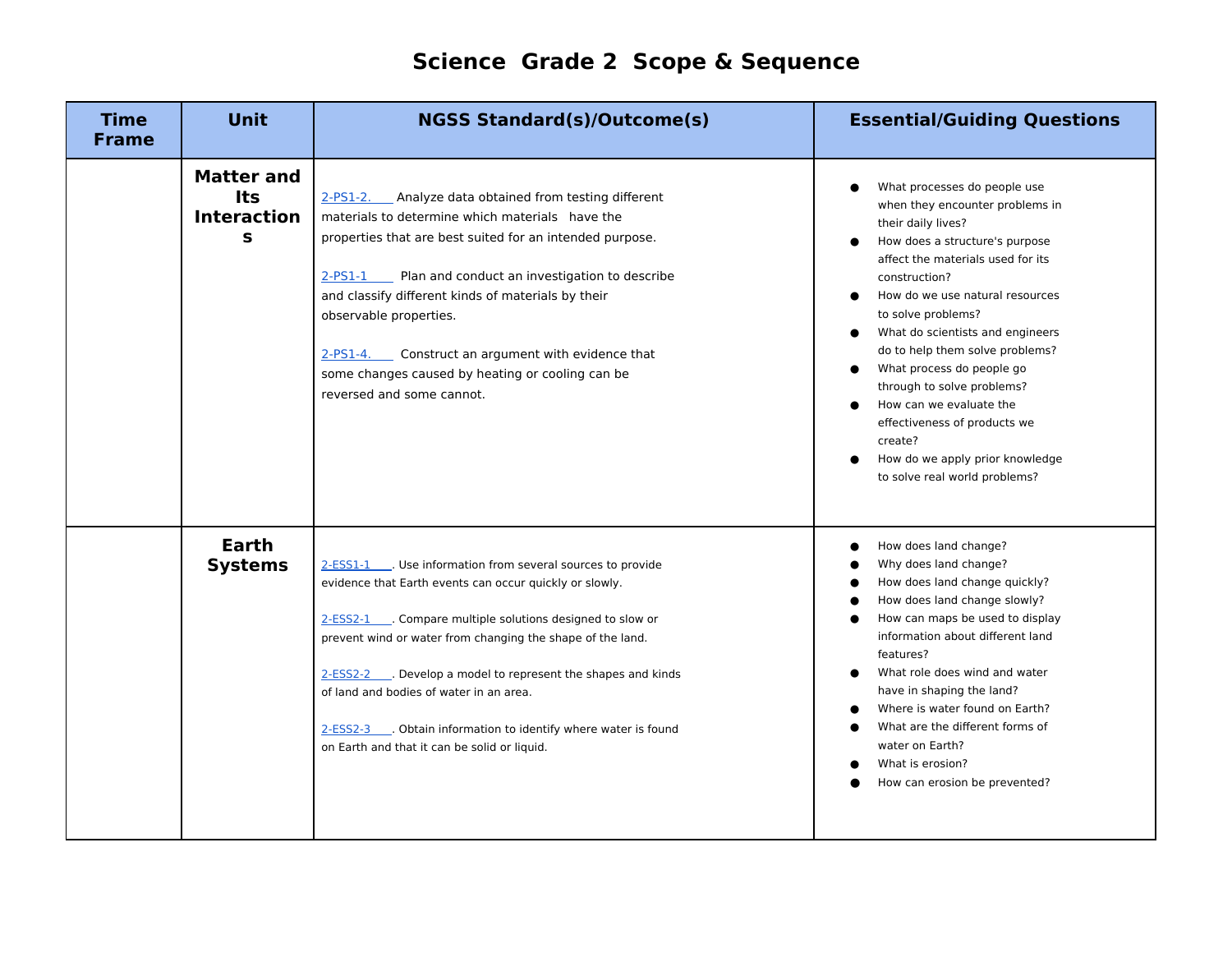## **Science Grade 2 Scope & Sequence**

| <b>Time</b><br><b>Frame</b> | <b>Unit</b>                                         | <b>NGSS Standard(s)/Outcome(s)</b>                                                                                                                                                                                                                                                                                                                                                                                                                                      | <b>Essential/Guiding Questions</b>                                                                                                                                                                                                                                                                                                                                                                                                                                                                                 |
|-----------------------------|-----------------------------------------------------|-------------------------------------------------------------------------------------------------------------------------------------------------------------------------------------------------------------------------------------------------------------------------------------------------------------------------------------------------------------------------------------------------------------------------------------------------------------------------|--------------------------------------------------------------------------------------------------------------------------------------------------------------------------------------------------------------------------------------------------------------------------------------------------------------------------------------------------------------------------------------------------------------------------------------------------------------------------------------------------------------------|
|                             | <b>Matter and</b><br>Its<br><b>Interaction</b><br>S | $2-PS1-2.$<br>Analyze data obtained from testing different<br>materials to determine which materials have the<br>properties that are best suited for an intended purpose.<br>Plan and conduct an investigation to describe<br>2-PS1-1<br>and classify different kinds of materials by their<br>observable properties.<br>2-PS1-4. Construct an argument with evidence that<br>some changes caused by heating or cooling can be<br>reversed and some cannot.             | What processes do people use<br>when they encounter problems in<br>their daily lives?<br>How does a structure's purpose<br>affect the materials used for its<br>construction?<br>How do we use natural resources<br>to solve problems?<br>What do scientists and engineers<br>do to help them solve problems?<br>What process do people go<br>through to solve problems?<br>How can we evaluate the<br>effectiveness of products we<br>create?<br>How do we apply prior knowledge<br>to solve real world problems? |
|                             | Earth<br><b>Systems</b>                             | 2-ESS1-1 Use information from several sources to provide<br>evidence that Earth events can occur quickly or slowly.<br>2-ESS2-1 Compare multiple solutions designed to slow or<br>prevent wind or water from changing the shape of the land.<br>2-ESS2-2 . Develop a model to represent the shapes and kinds<br>of land and bodies of water in an area.<br>2-ESS2-3 Cbtain information to identify where water is found<br>on Earth and that it can be solid or liquid. | How does land change?<br>Why does land change?<br>How does land change quickly?<br>How does land change slowly?<br>How can maps be used to display<br>information about different land<br>features?<br>What role does wind and water<br>have in shaping the land?<br>Where is water found on Earth?<br>What are the different forms of<br>water on Earth?<br>What is erosion?<br>How can erosion be prevented?                                                                                                     |